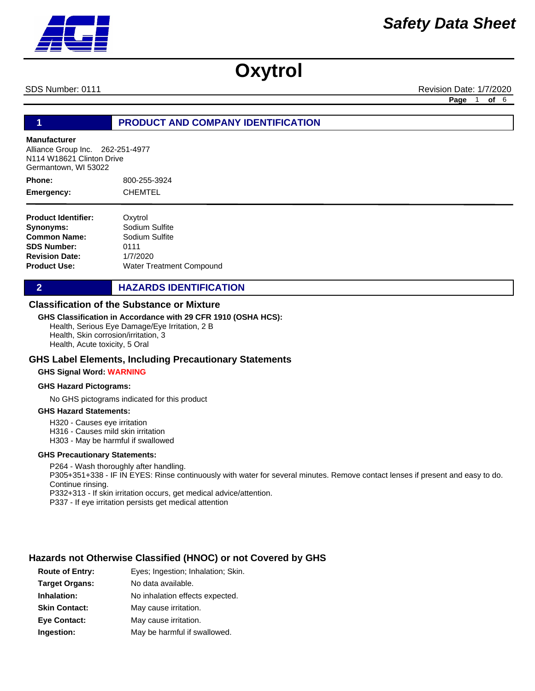SDS Number: 0111 **Revision Date: 1/7/2020** Revision Date: 1/7/2020

**Page** 1 **of** 6

#### **1 PRODUCT AND COMPANY IDENTIFICATION**

#### **Manufacturer**

Alliance Group Inc. 262-251-4977 N114 W18621 Clinton Drive Germantown, WI 53022

800-255-3924 **CHEMTEL Phone: Emergency:**

| <b>Product Identifier:</b> | Oxytrol                         |
|----------------------------|---------------------------------|
| Synonyms:                  | Sodium Sulfite                  |
| <b>Common Name:</b>        | Sodium Sulfite                  |
| <b>SDS Number:</b>         | 0111                            |
| <b>Revision Date:</b>      | 1/7/2020                        |
| <b>Product Use:</b>        | <b>Water Treatment Compound</b> |

#### **2 HAZARDS IDENTIFICATION**

#### **Classification of the Substance or Mixture**

#### **GHS Classification in Accordance with 29 CFR 1910 (OSHA HCS):**

Health, Serious Eye Damage/Eye Irritation, 2 B Health, Skin corrosion/irritation, 3 Health, Acute toxicity, 5 Oral

#### **GHS Label Elements, Including Precautionary Statements**

#### **GHS Signal Word: WARNING**

#### **GHS Hazard Pictograms:**

No GHS pictograms indicated for this product

#### **GHS Hazard Statements:**

H320 - Causes eye irritation

H316 - Causes mild skin irritation

H303 - May be harmful if swallowed

#### **GHS Precautionary Statements:**

P264 - Wash thoroughly after handling. P305+351+338 - IF IN EYES: Rinse continuously with water for several minutes. Remove contact lenses if present and easy to do. Continue rinsing. P332+313 - If skin irritation occurs, get medical advice/attention. P337 - If eye irritation persists get medical attention

#### **Hazards not Otherwise Classified (HNOC) or not Covered by GHS**

| <b>Route of Entry:</b> | Eyes; Ingestion; Inhalation; Skin. |
|------------------------|------------------------------------|
| <b>Target Organs:</b>  | No data available.                 |
| Inhalation:            | No inhalation effects expected.    |
| <b>Skin Contact:</b>   | May cause irritation.              |
| <b>Eye Contact:</b>    | May cause irritation.              |
| Ingestion:             | May be harmful if swallowed.       |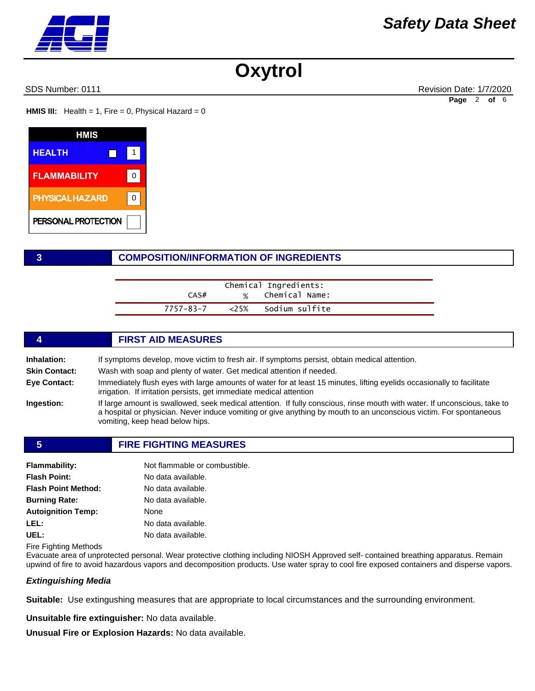SDS Number: 0111 Revision Date: 1/7/2020 **Page** 2 **of** 6

**HMIS III:** Health = 1, Fire = 0, Physical Hazard =  $0$ 

| HMIS                   |  |
|------------------------|--|
| <b>HEALTH</b>          |  |
| <b>FLAMMABILITY</b>    |  |
| <b>PHYSICAL HAZARD</b> |  |
| PERSONAL PROTECTION    |  |

#### **3 COMPOSITION/INFORMATION OF INGREDIENTS**

|           | Chemical Ingredients: |  |
|-----------|-----------------------|--|
| CAS#      | % Chemical Name:      |  |
| 7757-83-7 | <25% Sodium sulfite   |  |

|                      | <b>FIRST AID MEASURES</b>                                                                                                                                                                                                                                                          |
|----------------------|------------------------------------------------------------------------------------------------------------------------------------------------------------------------------------------------------------------------------------------------------------------------------------|
| Inhalation:          | If symptoms develop, move victim to fresh air. If symptoms persist, obtain medical attention.                                                                                                                                                                                      |
| <b>Skin Contact:</b> | Wash with soap and plenty of water. Get medical attention if needed.                                                                                                                                                                                                               |
| Eye Contact:         | Immediately flush eyes with large amounts of water for at least 15 minutes, lifting eyelids occasionally to facilitate<br>irrigation. If irritation persists, get immediate medical attention                                                                                      |
| Ingestion:           | If large amount is swallowed, seek medical attention. If fully conscious, rinse mouth with water. If unconscious, take to<br>a hospital or physician. Never induce vomiting or give anything by mouth to an unconscious victim. For spontaneous<br>vomiting, keep head below hips. |

#### **5 FIRE FIGHTING MEASURES**

| Flammability:        | Not flammable or combustible. |
|----------------------|-------------------------------|
| <b>Flash Point:</b>  | No data available.            |
| Flash Point Method:  | No data available.            |
| <b>Burning Rate:</b> | No data available.            |
| Autoignition Temp:   | None                          |
| LEL:                 | No data available.            |
| UEL:                 | No data available.            |

Fire Fighting Methods

Evacuate area of unprotected personal. Wear protective clothing including NIOSH Approved self- contained breathing apparatus. Remain upwind of fire to avoid hazardous vapors and decomposition products. Use water spray to cool fire exposed containers and disperse vapors.

#### *Extinguishing Media*

**Suitable:** Use extingushing measures that are appropriate to local circumstances and the surrounding environment.

**Unsuitable fire extinguisher:** No data available.

**Unusual Fire or Explosion Hazards:** No data available.

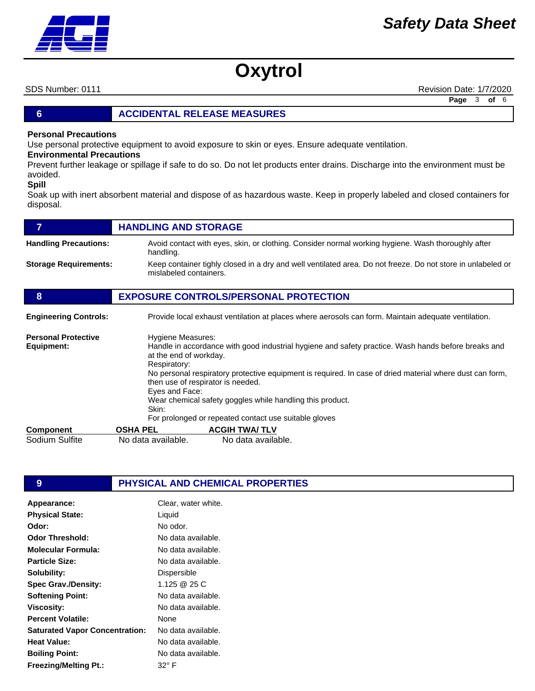SDS Number: 0111 **Revision Date: 1/7/2020** Revision Date: 1/7/2020 **Page** 3 **of** 6

#### **6 ACCIDENTAL RELEASE MEASURES**

#### **Personal Precautions**

Use personal protective equipment to avoid exposure to skin or eyes. Ensure adequate ventilation.

#### **Environmental Precautions**

Prevent further leakage or spillage if safe to do so. Do not let products enter drains. Discharge into the environment must be avoided.

#### **Spill**

Soak up with inert absorbent material and dispose of as hazardous waste. Keep in properly labeled and closed containers for disposal.

|                                          | <b>HANDLING AND STORAGE</b>                                                                                                                                                                                                                                                                                                                                                                                                                                          |
|------------------------------------------|----------------------------------------------------------------------------------------------------------------------------------------------------------------------------------------------------------------------------------------------------------------------------------------------------------------------------------------------------------------------------------------------------------------------------------------------------------------------|
| <b>Handling Precautions:</b>             | Avoid contact with eyes, skin, or clothing. Consider normal working hygiene. Wash thoroughly after<br>handling.                                                                                                                                                                                                                                                                                                                                                      |
| <b>Storage Requirements:</b>             | Keep container tighly closed in a dry and well ventilated area. Do not freeze. Do not store in unlabeled or<br>mislabeled containers.                                                                                                                                                                                                                                                                                                                                |
| 8                                        | <b>EXPOSURE CONTROLS/PERSONAL PROTECTION</b>                                                                                                                                                                                                                                                                                                                                                                                                                         |
| <b>Engineering Controls:</b>             | Provide local exhaust ventilation at places where aerosols can form. Maintain adequate ventilation.                                                                                                                                                                                                                                                                                                                                                                  |
| <b>Personal Protective</b><br>Equipment: | Hygiene Measures:<br>Handle in accordance with good industrial hygiene and safety practice. Wash hands before breaks and<br>at the end of workday.<br>Respiratory:<br>No personal respiratory protective equipment is required. In case of dried material where dust can form,<br>then use of respirator is needed.<br>Eyes and Face:<br>Wear chemical safety goggles while handling this product.<br>Skin:<br>For prolonged or repeated contact use suitable gloves |
| Component                                | <b>ACGIH TWA/TLV</b><br><b>OSHA PEL</b>                                                                                                                                                                                                                                                                                                                                                                                                                              |
| Sodium Sulfite                           | No data available.<br>No data available.                                                                                                                                                                                                                                                                                                                                                                                                                             |

#### **9 PHYSICAL AND CHEMICAL PROPERTIES**

| Appearance:                           | Clear, water white. |
|---------------------------------------|---------------------|
| <b>Physical State:</b>                | Liquid              |
| Odor:                                 | No odor.            |
| Odor Threshold:                       | No data available.  |
| Molecular Formula:                    | No data available.  |
| <b>Particle Size:</b>                 | No data available.  |
| Solubility:                           | Dispersible         |
| <b>Spec Grav./Density:</b>            | 1.125 @ 25 C        |
| <b>Softening Point:</b>               | No data available.  |
| <b>Viscosity:</b>                     | No data available.  |
| <b>Percent Volatile:</b>              | None                |
| <b>Saturated Vapor Concentration:</b> | No data available.  |
| Heat Value:                           | No data available.  |
| <b>Boiling Point:</b>                 | No data available.  |
| <b>Freezing/Melting Pt.:</b>          | 32° F               |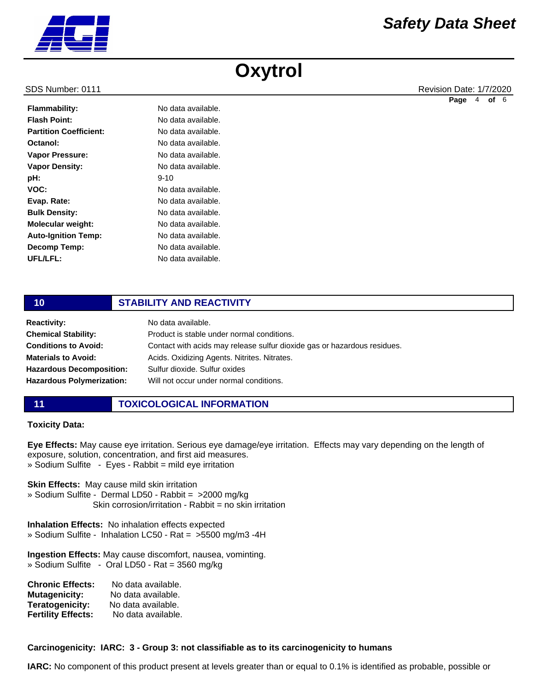|                               |                    | Page | 4 | of 6 |  |
|-------------------------------|--------------------|------|---|------|--|
| <b>Flammability:</b>          | No data available. |      |   |      |  |
| <b>Flash Point:</b>           | No data available. |      |   |      |  |
| <b>Partition Coefficient:</b> | No data available. |      |   |      |  |
| Octanol:                      | No data available. |      |   |      |  |
| <b>Vapor Pressure:</b>        | No data available. |      |   |      |  |
| <b>Vapor Density:</b>         | No data available. |      |   |      |  |
| pH:                           | $9 - 10$           |      |   |      |  |
| VOC:                          | No data available. |      |   |      |  |
| Evap. Rate:                   | No data available. |      |   |      |  |
| <b>Bulk Density:</b>          | No data available. |      |   |      |  |
| <b>Molecular weight:</b>      | No data available. |      |   |      |  |
| <b>Auto-Ignition Temp:</b>    | No data available. |      |   |      |  |
| <b>Decomp Temp:</b>           | No data available. |      |   |      |  |
|                               |                    |      |   |      |  |

#### **10 STABILITY AND REACTIVITY**

No data available.

| <b>Reactivity:</b>               | No data available.                                                       |
|----------------------------------|--------------------------------------------------------------------------|
| <b>Chemical Stability:</b>       | Product is stable under normal conditions.                               |
| <b>Conditions to Avoid:</b>      | Contact with acids may release sulfur dioxide gas or hazardous residues. |
| <b>Materials to Avoid:</b>       | Acids. Oxidizing Agents. Nitrites. Nitrates.                             |
| <b>Hazardous Decomposition:</b>  | Sulfur dioxide, Sulfur oxides                                            |
| <b>Hazardous Polymerization:</b> | Will not occur under normal conditions.                                  |

**UFL/LFL:**

#### **11 TOXICOLOGICAL INFORMATION**

#### **Toxicity Data:**

**Eye Effects:** May cause eye irritation. Serious eye damage/eye irritation. Effects may vary depending on the length of exposure, solution, concentration, and first aid measures. » Sodium Sulfite - Eyes - Rabbit = mild eye irritation

**Skin Effects:** May cause mild skin irritation

» Sodium Sulfite - Dermal LD50 - Rabbit = >2000 mg/kg Skin corrosion/irritation - Rabbit = no skin irritation

**Inhalation Effects:** No inhalation effects expected » Sodium Sulfite - Inhalation LC50 - Rat = >5500 mg/m3 -4H

**Ingestion Effects:** May cause discomfort, nausea, vominting. » Sodium Sulfite - Oral LD50 - Rat = 3560 mg/kg

| <b>Chronic Effects:</b>   | No data available. |
|---------------------------|--------------------|
| <b>Mutagenicity:</b>      | No data available. |
| Teratogenicity:           | No data available. |
| <b>Fertility Effects:</b> | No data available. |

#### **Carcinogenicity: IARC: 3 - Group 3: not classifiable as to its carcinogenicity to humans**

**IARC:** No component of this product present at levels greater than or equal to 0.1% is identified as probable, possible or



SDS Number: 0111 **Revision Date: 1/7/2020** Revision Date: 1/7/2020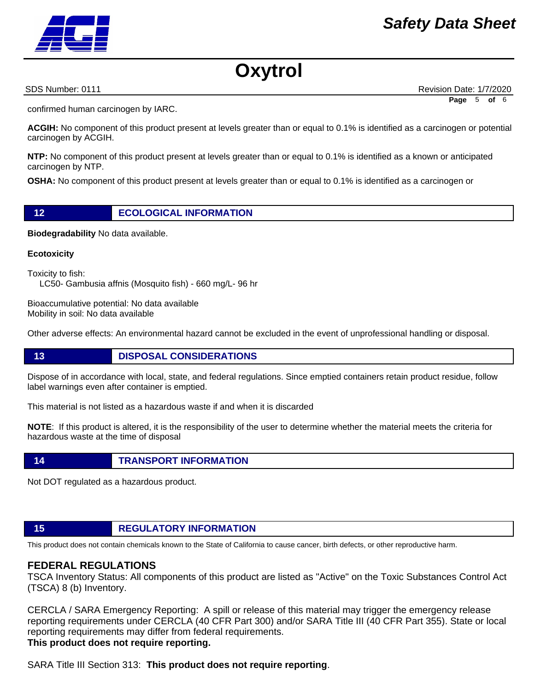confirmed human carcinogen by IARC.

**ACGIH:** No component of this product present at levels greater than or equal to 0.1% is identified as a carcinogen or potential carcinogen by ACGIH.

**NTP:** No component of this product present at levels greater than or equal to 0.1% is identified as a known or anticipated carcinogen by NTP.

**OSHA:** No component of this product present at levels greater than or equal to 0.1% is identified as a carcinogen or

**Biodegradability** No data available.

**Ecotoxicity** 

Toxicity to fish:

LC50- Gambusia affnis (Mosquito fish) - 660 mg/L- 96 hr

**12 ECOLOGICAL INFORMATION** 

Bioaccumulative potential: No data available Mobility in soil: No data available

Other adverse effects: An environmental hazard cannot be excluded in the event of unprofessional handling or disposal.

#### **13 DISPOSAL CONSIDERATIONS**

Dispose of in accordance with local, state, and federal regulations. Since emptied containers retain product residue, follow label warnings even after container is emptied.

This material is not listed as a hazardous waste if and when it is discarded

**NOTE**: If this product is altered, it is the responsibility of the user to determine whether the material meets the criteria for hazardous waste at the time of disposal

#### **14 TRANSPORT INFORMATION**

Not DOT regulated as a hazardous product.

## **15 REGULATORY INFORMATION**

This product does not contain chemicals known to the State of California to cause cancer, birth defects, or other reproductive harm.

#### **FEDERAL REGULATIONS**

TSCA Inventory Status: All components of this product are listed as "Active" on the Toxic Substances Control Act (TSCA) 8 (b) Inventory.

CERCLA / SARA Emergency Reporting: A spill or release of this material may trigger the emergency release reporting requirements under CERCLA (40 CFR Part 300) and/or SARA Title III (40 CFR Part 355). State or local reporting requirements may differ from federal requirements. **This product does not require reporting.**

SARA Title III Section 313: **This product does not require reporting**.



SDS Number: 0111 **Revision Date: 1/7/2020** Revision Date: 1/7/2020

**Page** 5 **of** 6